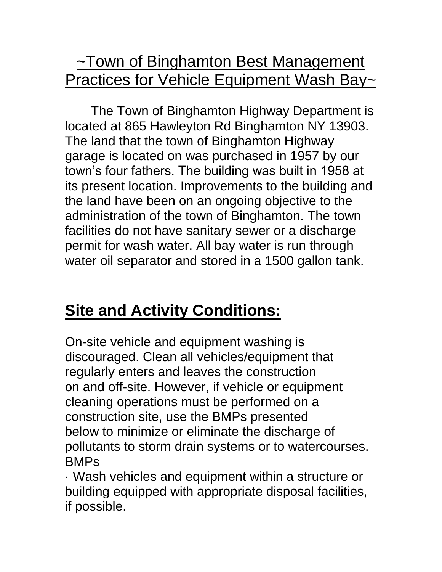## ~Town of Binghamton Best Management Practices for Vehicle Equipment Wash Bay~

The Town of Binghamton Highway Department is located at 865 Hawleyton Rd Binghamton NY 13903. The land that the town of Binghamton Highway garage is located on was purchased in 1957 by our town's four fathers. The building was built in 1958 at its present location. Improvements to the building and the land have been on an ongoing objective to the administration of the town of Binghamton. The town facilities do not have sanitary sewer or a discharge permit for wash water. All bay water is run through water oil separator and stored in a 1500 gallon tank.

## **Site and Activity Conditions:**

On-site vehicle and equipment washing is discouraged. Clean all vehicles/equipment that regularly enters and leaves the construction on and off-site. However, if vehicle or equipment cleaning operations must be performed on a construction site, use the BMPs presented below to minimize or eliminate the discharge of pollutants to storm drain systems or to watercourses. BMPs

· Wash vehicles and equipment within a structure or building equipped with appropriate disposal facilities, if possible.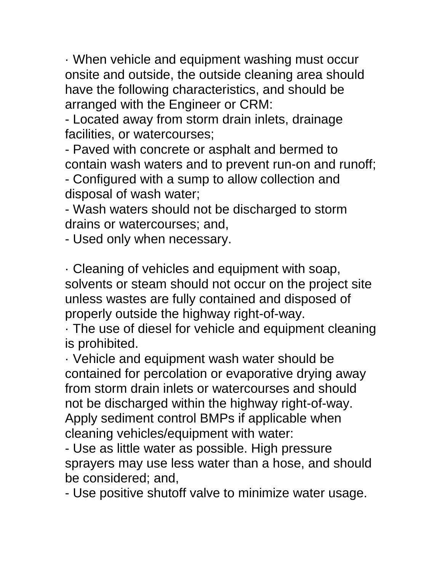· When vehicle and equipment washing must occur onsite and outside, the outside cleaning area should have the following characteristics, and should be arranged with the Engineer or CRM:

- Located away from storm drain inlets, drainage facilities, or watercourses;

- Paved with concrete or asphalt and bermed to contain wash waters and to prevent run-on and runoff;

- Configured with a sump to allow collection and disposal of wash water;

- Wash waters should not be discharged to storm drains or watercourses; and,

- Used only when necessary.

· Cleaning of vehicles and equipment with soap, solvents or steam should not occur on the project site unless wastes are fully contained and disposed of properly outside the highway right-of-way.

· The use of diesel for vehicle and equipment cleaning is prohibited.

· Vehicle and equipment wash water should be contained for percolation or evaporative drying away from storm drain inlets or watercourses and should not be discharged within the highway right-of-way. Apply sediment control BMPs if applicable when cleaning vehicles/equipment with water:

- Use as little water as possible. High pressure sprayers may use less water than a hose, and should be considered; and,

- Use positive shutoff valve to minimize water usage.